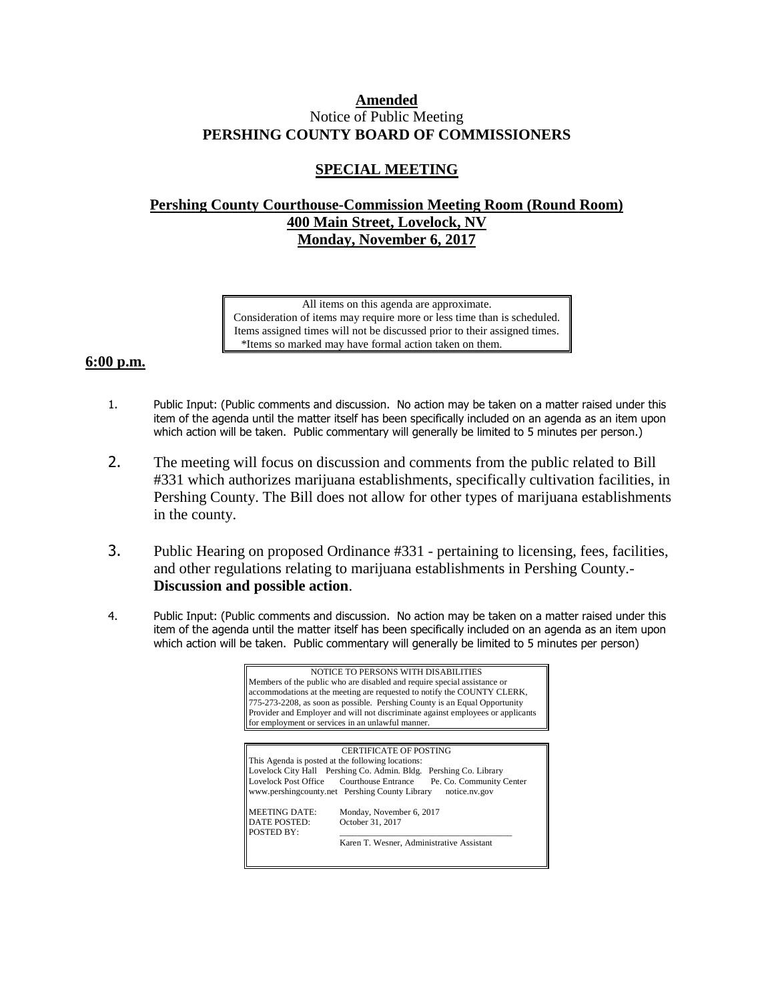## **Amended** Notice of Public Meeting **PERSHING COUNTY BOARD OF COMMISSIONERS**

## **SPECIAL MEETING**

## **Pershing County Courthouse-Commission Meeting Room (Round Room) 400 Main Street, Lovelock, NV Monday, November 6, 2017**

All items on this agenda are approximate. Consideration of items may require more or less time than is scheduled. Items assigned times will not be discussed prior to their assigned times. \*Items so marked may have formal action taken on them.

## **6:00 p.m.**

- 1. Public Input: (Public comments and discussion. No action may be taken on a matter raised under this item of the agenda until the matter itself has been specifically included on an agenda as an item upon which action will be taken. Public commentary will generally be limited to 5 minutes per person.)
- 2. The meeting will focus on discussion and comments from the public related to Bill #331 which authorizes marijuana establishments, specifically cultivation facilities, in Pershing County. The Bill does not allow for other types of marijuana establishments in the county.
- 3. Public Hearing on proposed Ordinance #331 pertaining to licensing, fees, facilities, and other regulations relating to marijuana establishments in Pershing County.- **Discussion and possible action**.
- 4. Public Input: (Public comments and discussion. No action may be taken on a matter raised under this item of the agenda until the matter itself has been specifically included on an agenda as an item upon which action will be taken. Public commentary will generally be limited to 5 minutes per person)

| NOTICE TO PERSONS WITH DISABILITIES<br>Members of the public who are disabled and require special assistance or<br>accommodations at the meeting are requested to notify the COUNTY CLERK,<br>775-273-2208, as soon as possible. Pershing County is an Equal Opportunity<br>Provider and Employer and will not discriminate against employees or applicants<br>for employment or services in an unlawful manner. |                                                                                                                                                                                                                                                                                                                                                 |
|------------------------------------------------------------------------------------------------------------------------------------------------------------------------------------------------------------------------------------------------------------------------------------------------------------------------------------------------------------------------------------------------------------------|-------------------------------------------------------------------------------------------------------------------------------------------------------------------------------------------------------------------------------------------------------------------------------------------------------------------------------------------------|
|                                                                                                                                                                                                                                                                                                                                                                                                                  |                                                                                                                                                                                                                                                                                                                                                 |
| MEETING DATE:<br>DATE POSTED:<br><b>POSTED BY:</b>                                                                                                                                                                                                                                                                                                                                                               | <b>CERTIFICATE OF POSTING</b><br>This Agenda is posted at the following locations:<br>Lovelock City Hall Pershing Co. Admin. Bldg. Pershing Co. Library<br>Lovelock Post Office Courthouse Entrance Pe. Co. Community Center<br>www.pershingcounty.net Pershing County Library<br>notice.nv.gov<br>Monday, November 6, 2017<br>October 31, 2017 |
|                                                                                                                                                                                                                                                                                                                                                                                                                  | Karen T. Wesner, Administrative Assistant                                                                                                                                                                                                                                                                                                       |